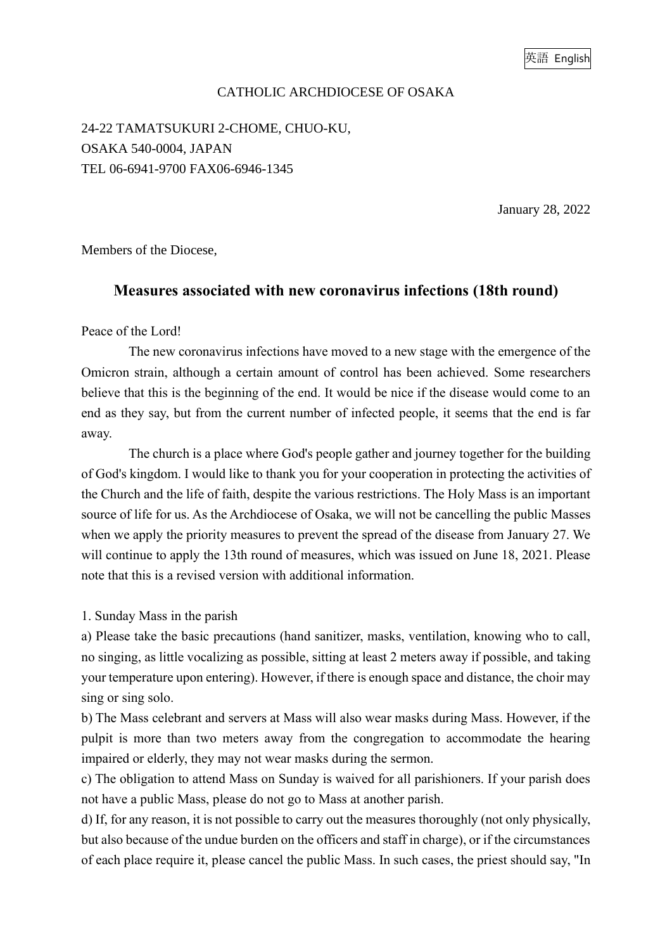## CATHOLIC ARCHDIOCESE OF OSAKA

24-22 TAMATSUKURI 2-CHOME, CHUO-KU, OSAKA 540-0004, JAPAN TEL 06-6941-9700 FAX06-6946-1345

January 28, 2022

Members of the Diocese,

## **Measures associated with new coronavirus infections (18th round)**

## Peace of the Lord!

The new coronavirus infections have moved to a new stage with the emergence of the Omicron strain, although a certain amount of control has been achieved. Some researchers believe that this is the beginning of the end. It would be nice if the disease would come to an end as they say, but from the current number of infected people, it seems that the end is far away.

The church is a place where God's people gather and journey together for the building of God's kingdom. I would like to thank you for your cooperation in protecting the activities of the Church and the life of faith, despite the various restrictions. The Holy Mass is an important source of life for us. As the Archdiocese of Osaka, we will not be cancelling the public Masses when we apply the priority measures to prevent the spread of the disease from January 27. We will continue to apply the 13th round of measures, which was issued on June 18, 2021. Please note that this is a revised version with additional information.

1. Sunday Mass in the parish

a) Please take the basic precautions (hand sanitizer, masks, ventilation, knowing who to call, no singing, as little vocalizing as possible, sitting at least 2 meters away if possible, and taking your temperature upon entering). However, if there is enough space and distance, the choir may sing or sing solo.

b) The Mass celebrant and servers at Mass will also wear masks during Mass. However, if the pulpit is more than two meters away from the congregation to accommodate the hearing impaired or elderly, they may not wear masks during the sermon.

c) The obligation to attend Mass on Sunday is waived for all parishioners. If your parish does not have a public Mass, please do not go to Mass at another parish.

d) If, for any reason, it is not possible to carry out the measures thoroughly (not only physically, but also because of the undue burden on the officers and staff in charge), or if the circumstances of each place require it, please cancel the public Mass. In such cases, the priest should say, "In